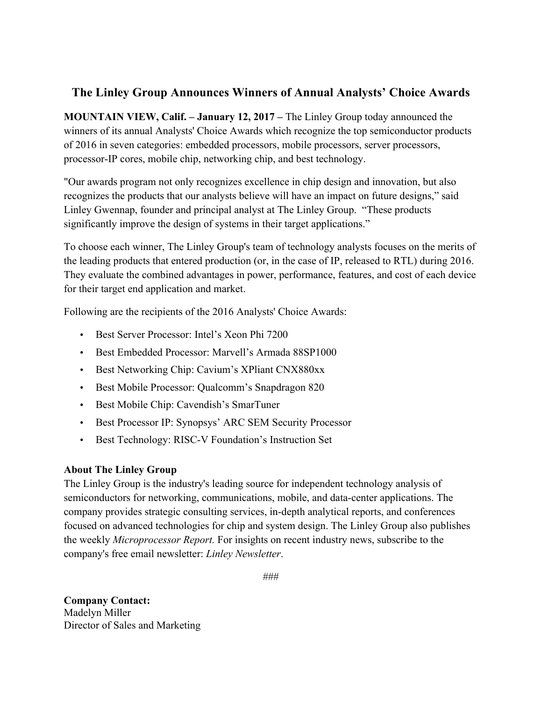## **The Linley Group Announces Winners of Annual Analysts' Choice Awards**

**MOUNTAIN VIEW, Calif. – January 12, 2017 –** The Linley Group today announced the winners of its annual Analysts' Choice Awards which recognize the top semiconductor products of 2016 in seven categories: embedded processors, mobile processors, server processors, processor-IP cores, mobile chip, networking chip, and best technology.

"Our awards program not only recognizes excellence in chip design and innovation, but also recognizes the products that our analysts believe will have an impact on future designs," said Linley Gwennap, founder and principal analyst at The Linley Group. "These products significantly improve the design of systems in their target applications."

To choose each winner, The Linley Group's team of technology analysts focuses on the merits of the leading products that entered production (or, in the case of IP, released to RTL) during 2016. They evaluate the combined advantages in power, performance, features, and cost of each device for their target end application and market.

Following are the recipients of the 2016 Analysts' Choice Awards:

- Best Server Processor: Intel's Xeon Phi 7200
- Best Embedded Processor: Marvell's Armada 88SP1000
- Best Networking Chip: Cavium's XPliant CNX880xx
- Best Mobile Processor: Qualcomm's Snapdragon 820
- Best Mobile Chip: Cavendish's SmarTuner
- Best Processor IP: Synopsys' ARC SEM Security Processor
- Best Technology: RISC-V Foundation's Instruction Set

## **About The Linley Group**

The Linley Group is the industry's leading source for independent technology analysis of semiconductors for networking, communications, mobile, and data-center applications. The company provides strategic consulting services, in-depth analytical reports, and conferences focused on advanced technologies for chip and system design. The Linley Group also publishes the weekly *Microprocessor Report.* For insights on recent industry news, subscribe to the company's free email newsletter: *Linley Newsletter*.

###

**Company Contact:**  Madelyn Miller Director of Sales and Marketing